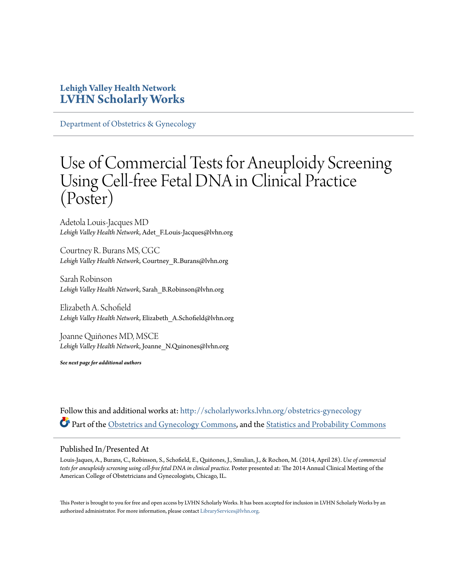#### **Lehigh Valley Health Network [LVHN Scholarly Works](http://scholarlyworks.lvhn.org?utm_source=scholarlyworks.lvhn.org%2Fobstetrics-gynecology%2F342&utm_medium=PDF&utm_campaign=PDFCoverPages)**

[Department of Obstetrics & Gynecology](http://scholarlyworks.lvhn.org/obstetrics-gynecology?utm_source=scholarlyworks.lvhn.org%2Fobstetrics-gynecology%2F342&utm_medium=PDF&utm_campaign=PDFCoverPages)

### Use of Commercial Tests for Aneuploidy Screening Using Cell-free Fetal DNA in Clinical Practice (Poster)

Adetola Louis-Jacques MD *Lehigh Valley Health Network*, Adet\_F.Louis-Jacques@lvhn.org

Courtney R. Burans MS, CGC *Lehigh Valley Health Network*, Courtney\_R.Burans@lvhn.org

Sarah Robinson *Lehigh Valley Health Network*, Sarah\_B.Robinson@lvhn.org

Elizabeth A. Schofield *Lehigh Valley Health Network*, Elizabeth\_A.Schofield@lvhn.org

Joanne Quiñones MD, MSCE *Lehigh Valley Health Network*, Joanne\_N.Quinones@lvhn.org

*See next page for additional authors*

Follow this and additional works at: [http://scholarlyworks.lvhn.org/obstetrics-gynecology](http://scholarlyworks.lvhn.org/obstetrics-gynecology?utm_source=scholarlyworks.lvhn.org%2Fobstetrics-gynecology%2F342&utm_medium=PDF&utm_campaign=PDFCoverPages) Part of the [Obstetrics and Gynecology Commons,](http://network.bepress.com/hgg/discipline/693?utm_source=scholarlyworks.lvhn.org%2Fobstetrics-gynecology%2F342&utm_medium=PDF&utm_campaign=PDFCoverPages) and the [Statistics and Probability Commons](http://network.bepress.com/hgg/discipline/208?utm_source=scholarlyworks.lvhn.org%2Fobstetrics-gynecology%2F342&utm_medium=PDF&utm_campaign=PDFCoverPages)

#### Published In/Presented At

Louis-Jaques, A., Burans, C., Robinson, S., Schofield, E., Quiñones, J., Smulian, J., & Rochon, M. (2014, April 28). *Use of commercial tests for aneuploidy screening using cell-free fetal DNA in clinical practice.* Poster presented at: The 2014 Annual Clinical Meeting of the American College of Obstetricians and Gynecologists, Chicago, IL.

This Poster is brought to you for free and open access by LVHN Scholarly Works. It has been accepted for inclusion in LVHN Scholarly Works by an authorized administrator. For more information, please contact  $\operatorname{Library}S$ ervices $@$ lvhn.org.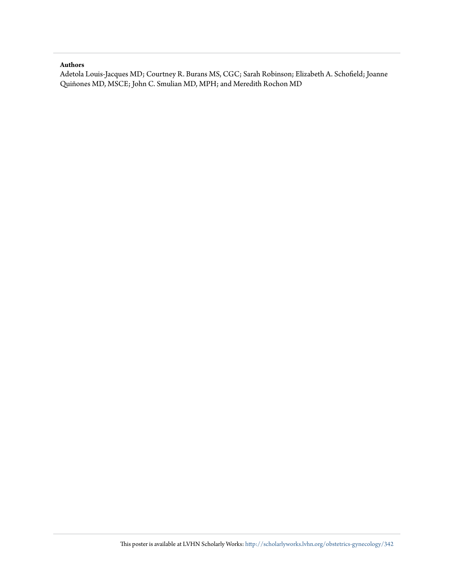#### **Authors**

Adetola Louis-Jacques MD; Courtney R. Burans MS, CGC; Sarah Robinson; Elizabeth A. Schofield; Joanne Quiñones MD, MSCE; John C. Smulian MD, MPH; and Meredith Rochon MD